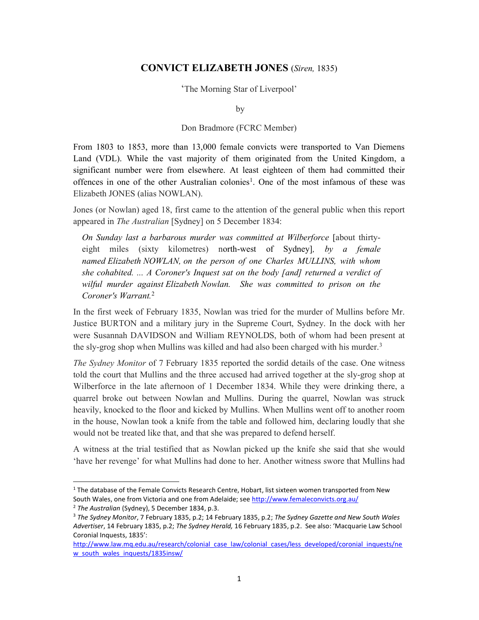## CONVICT ELIZABETH JONES (Siren, 1835)

'The Morning Star of Liverpool'

by

## Don Bradmore (FCRC Member)

From 1803 to 1853, more than 13,000 female convicts were transported to Van Diemens Land (VDL). While the vast majority of them originated from the United Kingdom, a significant number were from elsewhere. At least eighteen of them had committed their offences in one of the other Australian colonies<sup>1</sup>. One of the most infamous of these was Elizabeth JONES (alias NOWLAN).

Jones (or Nowlan) aged 18, first came to the attention of the general public when this report appeared in The Australian [Sydney] on 5 December 1834:

On Sunday last a barbarous murder was committed at Wilberforce [about thirtyeight miles (sixty kilometres) north-west of Sydney], by a female named Elizabeth NOWLAN, on the person of one Charles MULLINS, with whom she cohabited.  $\ldots$  A Coroner's Inquest sat on the body [and] returned a verdict of wilful murder against Elizabeth Nowlan. She was committed to prison on the Coroner's Warrant.<sup>2</sup>

In the first week of February 1835, Nowlan was tried for the murder of Mullins before Mr. Justice BURTON and a military jury in the Supreme Court, Sydney. In the dock with her were Susannah DAVIDSON and William REYNOLDS, both of whom had been present at the sly-grog shop when Mullins was killed and had also been charged with his murder.<sup>3</sup>

The Sydney Monitor of 7 February 1835 reported the sordid details of the case. One witness told the court that Mullins and the three accused had arrived together at the sly-grog shop at Wilberforce in the late afternoon of 1 December 1834. While they were drinking there, a quarrel broke out between Nowlan and Mullins. During the quarrel, Nowlan was struck heavily, knocked to the floor and kicked by Mullins. When Mullins went off to another room in the house, Nowlan took a knife from the table and followed him, declaring loudly that she would not be treated like that, and that she was prepared to defend herself.

A witness at the trial testified that as Nowlan picked up the knife she said that she would 'have her revenge' for what Mullins had done to her. Another witness swore that Mullins had

<sup>&</sup>lt;sup>1</sup> The database of the Female Convicts Research Centre, Hobart, list sixteen women transported from New South Wales, one from Victoria and one from Adelaide; see http://www.femaleconvicts.org.au/

<sup>&</sup>lt;sup>2</sup> The Australian (Sydney), 5 December 1834, p.3.

<sup>&</sup>lt;sup>3</sup> The Sydney Monitor, 7 February 1835, p.2; 14 February 1835, p.2; The Sydney Gazette and New South Wales Advertiser, 14 February 1835, p.2; The Sydney Herald, 16 February 1835, p.2. See also: 'Macquarie Law School Coronial Inquests, 1835':

http://www.law.mg.edu.au/research/colonial\_case\_law/colonial\_cases/less\_developed/coronial\_inquests/ne w\_south\_wales\_inquests/1835insw/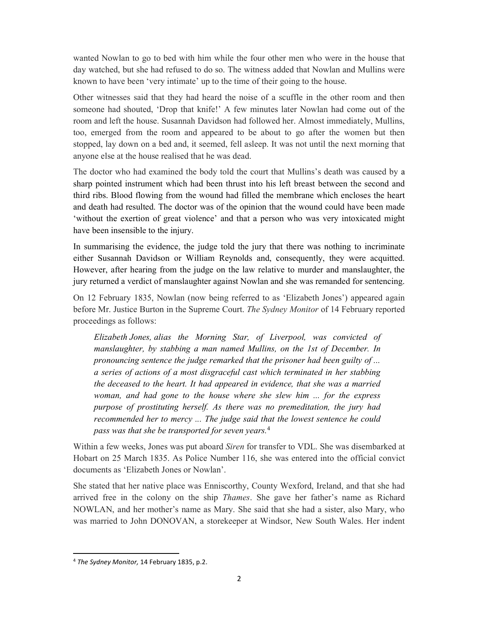wanted Nowlan to go to bed with him while the four other men who were in the house that day watched, but she had refused to do so. The witness added that Nowlan and Mullins were known to have been 'very intimate' up to the time of their going to the house.

Other witnesses said that they had heard the noise of a scuffle in the other room and then someone had shouted, 'Drop that knife!' A few minutes later Nowlan had come out of the room and left the house. Susannah Davidson had followed her. Almost immediately, Mullins, too, emerged from the room and appeared to be about to go after the women but then stopped, lay down on a bed and, it seemed, fell asleep. It was not until the next morning that anyone else at the house realised that he was dead.

The doctor who had examined the body told the court that Mullins's death was caused by a sharp pointed instrument which had been thrust into his left breast between the second and third ribs. Blood flowing from the wound had filled the membrane which encloses the heart and death had resulted. The doctor was of the opinion that the wound could have been made 'without the exertion of great violence' and that a person who was very intoxicated might have been insensible to the injury.

In summarising the evidence, the judge told the jury that there was nothing to incriminate either Susannah Davidson or William Reynolds and, consequently, they were acquitted. However, after hearing from the judge on the law relative to murder and manslaughter, the jury returned a verdict of manslaughter against Nowlan and she was remanded for sentencing.

On 12 February 1835, Nowlan (now being referred to as 'Elizabeth Jones') appeared again before Mr. Justice Burton in the Supreme Court. The Sydney Monitor of 14 February reported proceedings as follows:

Elizabeth Jones, alias the Morning Star, of Liverpool, was convicted of manslaughter, by stabbing a man named Mullins, on the 1st of December. In pronouncing sentence the judge remarked that the prisoner had been guilty of ... a series of actions of a most disgraceful cast which terminated in her stabbing the deceased to the heart. It had appeared in evidence, that she was a married woman, and had gone to the house where she slew him ... for the express purpose of prostituting herself. As there was no premeditation, the jury had recommended her to mercy ... The judge said that the lowest sentence he could pass was that she be transported for seven years.<sup>4</sup>

Within a few weeks, Jones was put aboard Siren for transfer to VDL. She was disembarked at Hobart on 25 March 1835. As Police Number 116, she was entered into the official convict documents as 'Elizabeth Jones or Nowlan'.

She stated that her native place was Enniscorthy, County Wexford, Ireland, and that she had arrived free in the colony on the ship *Thames*. She gave her father's name as Richard NOWLAN, and her mother's name as Mary. She said that she had a sister, also Mary, who was married to John DONOVAN, a storekeeper at Windsor, New South Wales. Her indent

<sup>4</sup> The Sydney Monitor, 14 February 1835, p.2.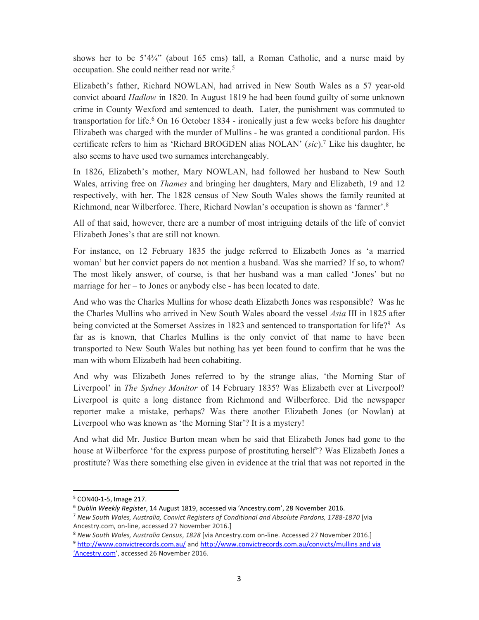shows her to be 5'4¼" (about 165 cms) tall, a Roman Catholic, and a nurse maid by occupation. She could neither read nor write.<sup>5</sup>

Elizabeth's father, Richard NOWLAN, had arrived in New South Wales as a 57 year-old convict aboard Hadlow in 1820. In August 1819 he had been found guilty of some unknown crime in County Wexford and sentenced to death. Later, the punishment was commuted to transportation for life.<sup>6</sup> On 16 October 1834 - ironically just a few weeks before his daughter Elizabeth was charged with the murder of Mullins - he was granted a conditional pardon. His certificate refers to him as 'Richard BROGDEN alias NOLAN' (sic).<sup>7</sup> Like his daughter, he also seems to have used two surnames interchangeably.

In 1826, Elizabeth's mother, Mary NOWLAN, had followed her husband to New South Wales, arriving free on *Thames* and bringing her daughters, Mary and Elizabeth, 19 and 12 respectively, with her. The 1828 census of New South Wales shows the family reunited at Richmond, near Wilberforce. There, Richard Nowlan's occupation is shown as 'farmer'.<sup>8</sup>

All of that said, however, there are a number of most intriguing details of the life of convict Elizabeth Jones's that are still not known.

For instance, on 12 February 1835 the judge referred to Elizabeth Jones as 'a married woman' but her convict papers do not mention a husband. Was she married? If so, to whom? The most likely answer, of course, is that her husband was a man called 'Jones' but no marriage for her – to Jones or anybody else - has been located to date.

And who was the Charles Mullins for whose death Elizabeth Jones was responsible? Was he the Charles Mullins who arrived in New South Wales aboard the vessel Asia III in 1825 after being convicted at the Somerset Assizes in 1823 and sentenced to transportation for life?<sup>9</sup> As far as is known, that Charles Mullins is the only convict of that name to have been transported to New South Wales but nothing has yet been found to confirm that he was the man with whom Elizabeth had been cohabiting.

And why was Elizabeth Jones referred to by the strange alias, 'the Morning Star of Liverpool' in The Sydney Monitor of 14 February 1835? Was Elizabeth ever at Liverpool? Liverpool is quite a long distance from Richmond and Wilberforce. Did the newspaper reporter make a mistake, perhaps? Was there another Elizabeth Jones (or Nowlan) at Liverpool who was known as 'the Morning Star'? It is a mystery!

And what did Mr. Justice Burton mean when he said that Elizabeth Jones had gone to the house at Wilberforce 'for the express purpose of prostituting herself'? Was Elizabeth Jones a prostitute? Was there something else given in evidence at the trial that was not reported in the

<sup>5</sup> CON40-1-5, Image 217.

<sup>6</sup> Dublin Weekly Register, 14 August 1819, accessed via 'Ancestry.com', 28 November 2016.

<sup>&</sup>lt;sup>7</sup> New South Wales, Australia, Convict Registers of Conditional and Absolute Pardons, 1788-1870 [via Ancestry.com, on-line, accessed 27 November 2016.]

<sup>8</sup> New South Wales, Australia Census, 1828 [via Ancestry.com on-line. Accessed 27 November 2016.]

<sup>9</sup> http://www.convictrecords.com.au/ and http://www.convictrecords.com.au/convicts/mullins and via 'Ancestry.com', accessed 26 November 2016.